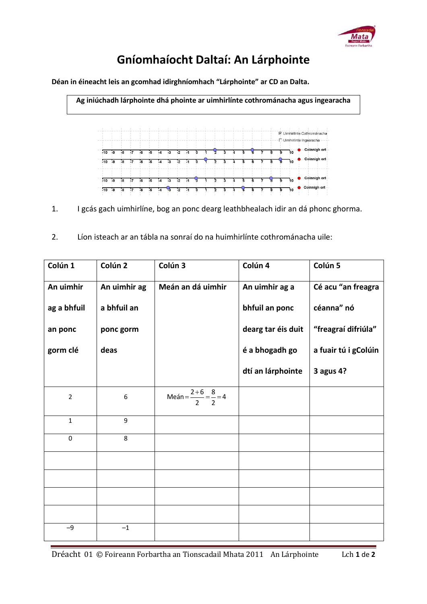

## **Gníomhaíocht Daltaí: An Lárphointe**

**Déan in éineacht leis an gcomhad idirghníomhach "Lárphointe" ar CD an Dalta.** 

**Ag iniúchadh lárphointe dhá phointe ar uimhirlínte cothrománacha agus ingearacha**



1. I gcás gach uimhirlíne, bog an ponc dearg leathbhealach idir an dá phonc ghorma.

2. Líon isteach ar an tábla na sonraí do na huimhirlínte cothrománacha uile:

| Colún 1        | Colún 2      | Colún 3                                    | Colún 4            | Colún 5              |
|----------------|--------------|--------------------------------------------|--------------------|----------------------|
| An uimhir      | An uimhir ag | Meán an dá uimhir                          | An uimhir ag a     | Cé acu "an freagra   |
| ag a bhfuil    | a bhfuil an  |                                            | bhfuil an ponc     | céanna" nó           |
| an ponc        | ponc gorm    |                                            | dearg tar éis duit | "freagraí difriúla"  |
| gorm clé       | deas         |                                            | é a bhogadh go     | a fuair tú i gColúin |
|                |              |                                            | dtí an lárphointe  | 3 agus 4?            |
| $\overline{2}$ | 6            | Meán = $\frac{2+6}{2}$ = $\frac{8}{2}$ = 4 |                    |                      |
| $\mathbf{1}$   | 9            |                                            |                    |                      |
| $\pmb{0}$      | 8            |                                            |                    |                      |
|                |              |                                            |                    |                      |
|                |              |                                            |                    |                      |
|                |              |                                            |                    |                      |
|                |              |                                            |                    |                      |
| $-9$           | $-1$         |                                            |                    |                      |